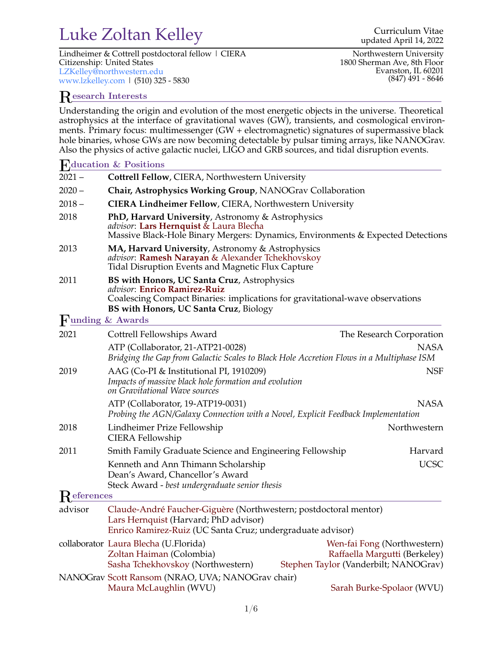## Luke Zoltan Kelley Curriculum Vitae Curriculum Vitae

Lindheimer & Cottrell postdoctoral fellow | CIERA Citizenship: United States <LZKelley@northwestern.edu> <www.lzkelley.com> | (510) 325 - 5830

Northwestern University 1800 Sherman Ave, 8th Floor Evanston, IL 60201 (847) 491 - 8646

### Research Interests

Understanding the origin and evolution of the most energetic objects in the universe. Theoretical astrophysics at the interface of gravitational waves (GW), transients, and cosmological environments. Primary focus: multimessenger (GW + electromagnetic) signatures of supermassive black hole binaries, whose GWs are now becoming detectable by pulsar timing arrays, like NANOGrav. Also the physics of active galactic nuclei, LIGO and GRB sources, and tidal disruption events.

#### Education & Positions

| $2021 -$                       | Cottrell Fellow, CIERA, Northwestern University                                                                                                                                                        |  |                                                                                                       |  |
|--------------------------------|--------------------------------------------------------------------------------------------------------------------------------------------------------------------------------------------------------|--|-------------------------------------------------------------------------------------------------------|--|
| $2020 -$                       | Chair, Astrophysics Working Group, NANOGrav Collaboration                                                                                                                                              |  |                                                                                                       |  |
| $2018 -$                       | <b>CIERA Lindheimer Fellow, CIERA, Northwestern University</b>                                                                                                                                         |  |                                                                                                       |  |
| 2018                           | PhD, Harvard University, Astronomy & Astrophysics<br><i>advisor</i> : Lars Hernquist & Laura Blecha<br>Massive Black-Hole Binary Mergers: Dynamics, Environments & Expected Detections                 |  |                                                                                                       |  |
| 2013                           | MA, Harvard University, Astronomy & Astrophysics<br>advisor: Ramesh Narayan & Alexander Tchekhovskoy<br>Tidal Disruption Events and Magnetic Flux Capture                                              |  |                                                                                                       |  |
| 2011                           | BS with Honors, UC Santa Cruz, Astrophysics<br>advisor: Enrico Ramirez-Ruiz<br>Coalescing Compact Binaries: implications for gravitational-wave observations<br>BS with Honors, UC Santa Cruz, Biology |  |                                                                                                       |  |
| $\blacksquare$ unding & Awards |                                                                                                                                                                                                        |  |                                                                                                       |  |
| 2021                           | Cottrell Fellowships Award                                                                                                                                                                             |  | The Research Corporation                                                                              |  |
|                                | ATP (Collaborator, 21-ATP21-0028)<br>NASA<br>Bridging the Gap from Galactic Scales to Black Hole Accretion Flows in a Multiphase ISM                                                                   |  |                                                                                                       |  |
| 2019                           | AAG (Co-PI & Institutional PI, 1910209)<br>Impacts of massive black hole formation and evolution<br>on Gravitational Wave sources                                                                      |  | <b>NSF</b>                                                                                            |  |
|                                | ATP (Collaborator, 19-ATP19-0031)<br>Probing the AGN/Galaxy Connection with a Novel, Explicit Feedback Implementation                                                                                  |  | NASA                                                                                                  |  |
| 2018                           | Lindheimer Prize Fellowship<br><b>CIERA Fellowship</b>                                                                                                                                                 |  | Northwestern                                                                                          |  |
| 2011                           | Smith Family Graduate Science and Engineering Fellowship                                                                                                                                               |  | Harvard                                                                                               |  |
|                                | Kenneth and Ann Thimann Scholarship<br>Dean's Award, Chancellor's Award<br>Steck Award - best undergraduate senior thesis                                                                              |  | <b>UCSC</b>                                                                                           |  |
| $\mathsf{R}$ eferences         |                                                                                                                                                                                                        |  |                                                                                                       |  |
| advisor                        | Claude-André Faucher-Giguère (Northwestern; postdoctoral mentor)<br>Lars Hernquist (Harvard; PhD advisor)<br>Enrico Ramirez-Ruiz (UC Santa Cruz; undergraduate advisor)                                |  |                                                                                                       |  |
|                                | collaborator Laura Blecha (U.Florida)<br>Zoltan Haiman (Colombia)<br>Sasha Tchekhovskoy (Northwestern)                                                                                                 |  | Wen-fai Fong (Northwestern)<br>Raffaella Margutti (Berkeley)<br>Stephen Taylor (Vanderbilt; NANOGrav) |  |
|                                | NANOGrav Scott Ransom (NRAO, UVA; NANOGrav chair)<br>Maura McLaughlin (WVU)                                                                                                                            |  | Sarah Burke-Spolaor (WVU)                                                                             |  |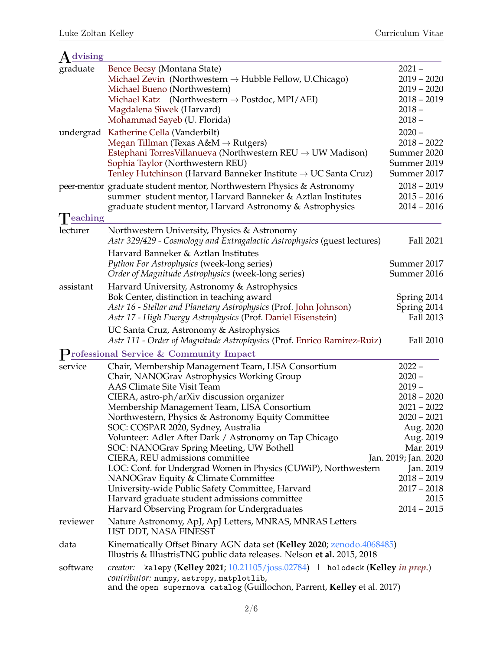| dvising   |                                                                                                                                                                                                                                                                                                                                                                                                                                                                                                                                                                                                                                                                                          |                                                                                                                                                                                                                            |
|-----------|------------------------------------------------------------------------------------------------------------------------------------------------------------------------------------------------------------------------------------------------------------------------------------------------------------------------------------------------------------------------------------------------------------------------------------------------------------------------------------------------------------------------------------------------------------------------------------------------------------------------------------------------------------------------------------------|----------------------------------------------------------------------------------------------------------------------------------------------------------------------------------------------------------------------------|
| graduate  | Bence Becsy (Montana State)<br>Michael Zevin (Northwestern $\rightarrow$ Hubble Fellow, U.Chicago)<br>Michael Bueno (Northwestern)<br>Michael Katz (Northwestern $\rightarrow$ Postdoc, MPI/AEI)<br>Magdalena Siwek (Harvard)<br>Mohammad Sayeb (U. Florida)                                                                                                                                                                                                                                                                                                                                                                                                                             | $2021 -$<br>$2019 - 2020$<br>$2019 - 2020$<br>$2018 - 2019$<br>$2018 -$<br>$2018 -$                                                                                                                                        |
| undergrad | Katherine Cella (Vanderbilt)<br>Megan Tillman (Texas $A\&M \rightarrow Rutgers$ )<br>Estephani Torres Villanueva (Northwestern REU $\rightarrow$ UW Madison)<br>Sophia Taylor (Northwestern REU)<br>Tenley Hutchinson (Harvard Banneker Institute $\rightarrow$ UC Santa Cruz)                                                                                                                                                                                                                                                                                                                                                                                                           | $2020 -$<br>$2018 - 2022$<br>Summer 2020<br>Summer 2019<br>Summer 2017                                                                                                                                                     |
|           | peer-mentor graduate student mentor, Northwestern Physics & Astronomy<br>summer student mentor, Harvard Banneker & Aztlan Institutes<br>graduate student mentor, Harvard Astronomy & Astrophysics                                                                                                                                                                                                                                                                                                                                                                                                                                                                                        | $2018 - 2019$<br>$2015 - 2016$<br>$2014 - 2016$                                                                                                                                                                            |
| eaching   |                                                                                                                                                                                                                                                                                                                                                                                                                                                                                                                                                                                                                                                                                          |                                                                                                                                                                                                                            |
| lecturer  | Northwestern University, Physics & Astronomy<br>Astr 329/429 - Cosmology and Extragalactic Astrophysics (guest lectures)                                                                                                                                                                                                                                                                                                                                                                                                                                                                                                                                                                 | Fall 2021                                                                                                                                                                                                                  |
|           | Harvard Banneker & Aztlan Institutes<br>Python For Astrophysics (week-long series)<br>Order of Magnitude Astrophysics (week-long series)                                                                                                                                                                                                                                                                                                                                                                                                                                                                                                                                                 | Summer 2017<br>Summer 2016                                                                                                                                                                                                 |
| assistant | Harvard University, Astronomy & Astrophysics<br>Bok Center, distinction in teaching award<br>Astr 16 - Stellar and Planetary Astrophysics (Prof. John Johnson)<br>Astr 17 - High Energy Astrophysics (Prof. Daniel Eisenstein)                                                                                                                                                                                                                                                                                                                                                                                                                                                           | Spring 2014<br>Spring 2014<br>Fall 2013                                                                                                                                                                                    |
|           | UC Santa Cruz, Astronomy & Astrophysics<br>Astr 111 - Order of Magnitude Astrophysics (Prof. Enrico Ramirez-Ruiz)                                                                                                                                                                                                                                                                                                                                                                                                                                                                                                                                                                        | Fall 2010                                                                                                                                                                                                                  |
|           | rofessional Service & Community Impact                                                                                                                                                                                                                                                                                                                                                                                                                                                                                                                                                                                                                                                   |                                                                                                                                                                                                                            |
| service   | Chair, Membership Management Team, LISA Consortium<br>Chair, NANOGrav Astrophysics Working Group<br><b>AAS Climate Site Visit Team</b><br>CIERA, astro-ph/arXiv discussion organizer<br>Membership Management Team, LISA Consortium<br>Northwestern, Physics & Astronomy Equity Committee<br>SOC: COSPAR 2020, Sydney, Australia<br>Volunteer: Adler After Dark / Astronomy on Tap Chicago<br>SOC: NANOGrav Spring Meeting, UW Bothell<br>CIERA, REU admissions committee<br>LOC: Conf. for Undergrad Women in Physics (CUWiP), Northwestern<br>NANOGrav Equity & Climate Committee<br>University-wide Public Safety Committee, Harvard<br>Harvard graduate student admissions committee | $2022 -$<br>$2020 -$<br>$2019 -$<br>$2018 - 2020$<br>$2021 - 2022$<br>$2020 - 2021$<br>Aug. 2020<br>Aug. 2019<br>Mar. 2019<br>Jan. 2019; Jan. 2020<br>Jan. 2019<br>$2018 - 2019$<br>$2017 - 2018$<br>2015<br>$2014 - 2015$ |
| reviewer  | Harvard Observing Program for Undergraduates<br>Nature Astronomy, ApJ, ApJ Letters, MNRAS, MNRAS Letters<br>HST DDT, NASA FINESST                                                                                                                                                                                                                                                                                                                                                                                                                                                                                                                                                        |                                                                                                                                                                                                                            |
| data      | Kinematically Offset Binary AGN data set (Kelley 2020; zenodo.4068485)<br>Illustris & IllustrisTNG public data releases. Nelson et al. 2015, 2018                                                                                                                                                                                                                                                                                                                                                                                                                                                                                                                                        |                                                                                                                                                                                                                            |
| software  | creator: kalepy (Kelley 2021; 10.21105/joss.02784) holodeck (Kelley in prep.)<br>contributor: numpy, astropy, matplotlib,<br>and the open supernova catalog (Guillochon, Parrent, Kelley et al. 2017)                                                                                                                                                                                                                                                                                                                                                                                                                                                                                    |                                                                                                                                                                                                                            |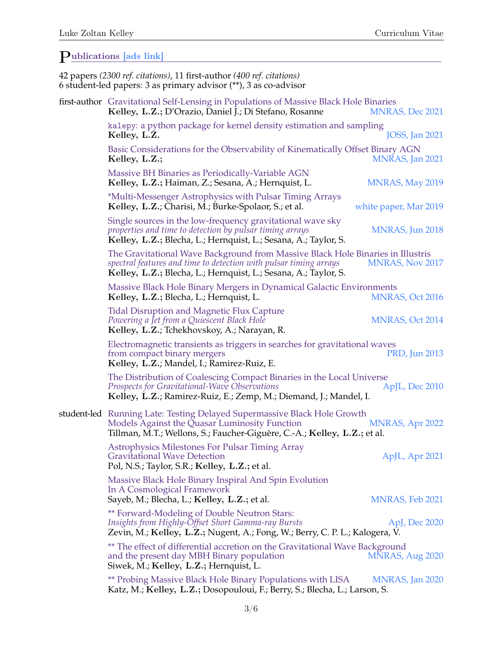# $P<sub>ublications</sub>$  [\[ads link\]](https://ui.adsabs.harvard.edu/public-libraries/6EC-IzeqTneQJFzTcR1g9A)<br>42 nonem (2200 mf, sitations), 11.6

|  | 42 papers (2300 ref. citations), 11 first-author (400 ref. citations)<br>6 student-led papers: 3 as primary advisor (**), 3 as co-advisor                                                                               |                        |
|--|-------------------------------------------------------------------------------------------------------------------------------------------------------------------------------------------------------------------------|------------------------|
|  | first-author Gravitational Self-Lensing in Populations of Massive Black Hole Binaries<br>Kelley, L.Z.; D'Orazio, Daniel J.; Di Stefano, Rosanne                                                                         | <b>MNRAS, Dec 2021</b> |
|  | kalepy: a python package for kernel density estimation and sampling<br>Kelley, L.Z.                                                                                                                                     | <b>JOSS</b> , Jan 2021 |
|  | Basic Considerations for the Observability of Kinematically Offset Binary AGN<br>Kelley, L.Z.;                                                                                                                          | MNRAS, Jan 2021        |
|  | Massive BH Binaries as Periodically-Variable AGN<br>Kelley, L.Z.; Haiman, Z.; Sesana, A.; Hernquist, L.                                                                                                                 | <b>MNRAS, May 2019</b> |
|  | *Multi-Messenger Astrophysics with Pulsar Timing Arrays<br>Kelley, L.Z.; Charisi, M.; Burke-Spolaor, S.; et al.                                                                                                         | white paper, Mar 2019  |
|  | Single sources in the low-frequency gravitational wave sky<br>properties and time to detection by pulsar timing arrays<br>Kelley, L.Z.; Blecha, L.; Hernquist, L.; Sesana, A.; Taylor, S.                               | MNRAS, Jun 2018        |
|  | The Gravitational Wave Background from Massive Black Hole Binaries in Illustris<br>spectral features and time to detection with pulsar timing arrays<br>Kelley, L.Z.; Blecha, L.; Hernquist, L.; Sesana, A.; Taylor, S. | <b>MNRAS, Nov 2017</b> |
|  | Massive Black Hole Binary Mergers in Dynamical Galactic Environments<br>Kelley, L.Z.; Blecha, L.; Hernquist, L.                                                                                                         | <b>MNRAS, Oct 2016</b> |
|  | <b>Tidal Disruption and Magnetic Flux Capture</b><br>Powering a Jet from a Quiescent Black Hole<br>Kelley, L.Z.; Tchekhovskoy, A.; Narayan, R.                                                                          | <b>MNRAS, Oct 2014</b> |
|  | Electromagnetic transients as triggers in searches for gravitational waves<br>from compact binary mergers<br>Kelley, L.Z.; Mandel, I.; Ramirez-Ruiz, E.                                                                 | PRD, Jun 2013          |
|  | The Distribution of Coalescing Compact Binaries in the Local Universe<br><b>Prospects for Gravitational-Wave Observations</b><br>Kelley, L.Z.; Ramirez-Ruiz, E.; Zemp, M.; Diemand, J.; Mandel, I.                      | ApJL, Dec 2010         |
|  | student-led Running Late: Testing Delayed Supermassive Black Hole Growth<br>Models Against the Quasar Luminosity Function<br>Tillman, M.T.; Wellons, S.; Faucher-Giguère, C.-A.; Kelley, L.Z.; et al.                   | MNRAS, Apr 2022        |
|  | <b>Astrophysics Milestones For Pulsar Timing Array</b><br><b>Gravitational Wave Detection</b><br>Pol, N.S.; Taylor, S.R.; Kelley, L.Z.; et al.                                                                          | ApJL, Apr 2021         |
|  | Massive Black Hole Binary Inspiral And Spin Evolution<br>In A Cosmological Framework<br>Sayeb, M.; Blecha, L.; Kelley, L.Z.; et al.                                                                                     | <b>MNRAS, Feb 2021</b> |
|  | ** Forward-Modeling of Double Neutron Stars:<br>Insights from Highly-Offset Short Gamma-ray Bursts<br>Zevin, M.; Kelley, L.Z.; Nugent, A.; Fong, W.; Berry, C. P. L.; Kalogera, V.                                      | ApJ, Dec 2020          |
|  | ** The effect of differential accretion on the Gravitational Wave Background<br>and the present day MBH Binary population<br>Siwek, M.; Kelley, L.Z.; Hernquist, L.                                                     | MNRAS, Aug 2020        |
|  | ** Probing Massive Black Hole Binary Populations with LISA<br>Katz, M.; Kelley, L.Z.; Dosopouloui, F.; Berry, S.; Blecha, L.; Larson, S.                                                                                | MNRAS, Jan 2020        |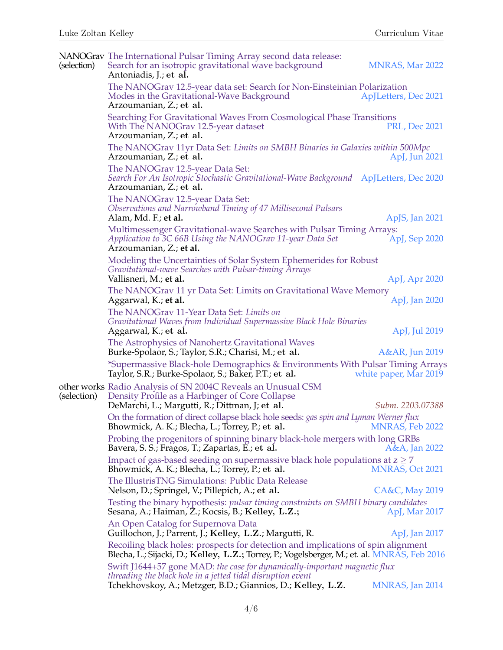| (selection) | NANOGrav The International Pulsar Timing Array second data release:<br>Search for an isotropic gravitational wave background<br>Antoniadis, J.; et al.                            | <b>MNRAS, Mar 2022</b> |
|-------------|-----------------------------------------------------------------------------------------------------------------------------------------------------------------------------------|------------------------|
|             | The NANOGrav 12.5-year data set: Search for Non-Einsteinian Polarization<br>Modes in the Gravitational-Wave Background<br>Arzoumanian, Z.; et al.                                 | ApJLetters, Dec 2021   |
|             | Searching For Gravitational Waves From Cosmological Phase Transitions<br>With The NANOGrav 12.5-year dataset<br>Arzoumanian, Z.; et al.                                           | <b>PRL, Dec 2021</b>   |
|             | The NANOGrav 11yr Data Set: Limits on SMBH Binaries in Galaxies within 500Mpc<br>Arzoumanian, Z.; et al.                                                                          | ApJ, Jun 2021          |
|             | The NANOGrav 12.5-year Data Set:<br>Search For An Isotropic Stochastic Gravitational-Wave Background ApJLetters, Dec 2020<br>Arzoumanian, Z.; et al.                              |                        |
|             | The NANOGrav 12.5-year Data Set:<br>Observations and Narrowband Timing of 47 Millisecond Pulsars<br>Alam, Md. F.; et al.                                                          | ApJS, Jan 2021         |
|             | Multimessenger Gravitational-wave Searches with Pulsar Timing Arrays:<br>Application to 3C 66B Using the NANOGrav 11-year Data Set<br>Arzoumanian, Z.; et al.                     | ApJ, Sep 2020          |
|             | Modeling the Uncertainties of Solar System Ephemerides for Robust<br>Gravitational-wave Searches with Pulsar-timing Arrays                                                        |                        |
|             | Vallisneri, M.; et al.                                                                                                                                                            | ApJ, Apr 2020          |
|             | The NANOGrav 11 yr Data Set: Limits on Gravitational Wave Memory<br>Aggarwal, K.; et al.                                                                                          | ApJ, Jan 2020          |
|             | The NANOGrav 11-Year Data Set: Limits on<br>Gravitational Waves from Individual Supermassive Black Hole Binaries<br>Aggarwal, K.; et al.                                          | ApJ, Jul 2019          |
|             | The Astrophysics of Nanohertz Gravitational Waves<br>Burke-Spolaor, S.; Taylor, S.R.; Charisi, M.; et al.                                                                         | A&AR, Jun 2019         |
|             | *Supermassive Black-hole Demographics & Environments With Pulsar Timing Arrays<br>Taylor, S.R.; Burke-Spolaor, S.; Baker, P.T.; et al.                                            | white paper, Mar 2019  |
| (selection) | other works Radio Analysis of SN 2004C Reveals an Unusual CSM<br>Density Profile as a Harbinger of Core Collapse<br>DeMarchi, L.; Margutti, R.; Dittman, J; et al.                | Subm. 2203.07388       |
|             | On the formation of direct collapse black hole seeds: gas spin and Lyman Werner flux<br>Bhowmick, A. K.; Blecha, L.; Torrey, P.; et al.                                           | MNRAS, Feb 2022        |
|             | Probing the progenitors of spinning binary black-hole mergers with long GRBs<br>Bavera, S. S.; Fragos, T.; Zapartas, E.; et al.                                                   | A&A, Jan 2022          |
|             | Impact of gas-based seeding on supermassive black hole populations at $z \geq 7$<br>Bhowmick, A. K.; Blecha, L.; Torrey, P.; et al.                                               | <b>MNRAS, Oct 2021</b> |
|             | The IllustrisTNG Simulations: Public Data Release<br>Nelson, D.; Springel, V.; Pillepich, A.; et al.                                                                              | CA&C, May 2019         |
|             | Testing the binary hypothesis: <i>pulsar timing constraints on SMBH binary candidates</i><br>Sesana, A.; Haiman, Z.; Kocsis, B.; Kelley, L.Z.;                                    | ApJ, Mar 2017          |
|             | An Open Catalog for Supernova Data<br>Guillochon, J.; Parrent, J.; Kelley, L.Z.; Margutti, R.                                                                                     | ApJ, Jan 2017          |
|             | Recoiling black holes: prospects for detection and implications of spin alignment<br>Blecha, L.; Sijacki, D.; Kelley, L.Z.; Torrey, P.; Vogelsberger, M.; et. al. MNRAS, Feb 2016 |                        |
|             | Swift J1644+57 gone MAD: the case for dynamically-important magnetic flux<br>threading the black hole in a jetted tidal disruption event                                          |                        |
|             | Tchekhovskoy, A.; Metzger, B.D.; Giannios, D.; Kelley, L.Z.                                                                                                                       | MNRAS, Jan 2014        |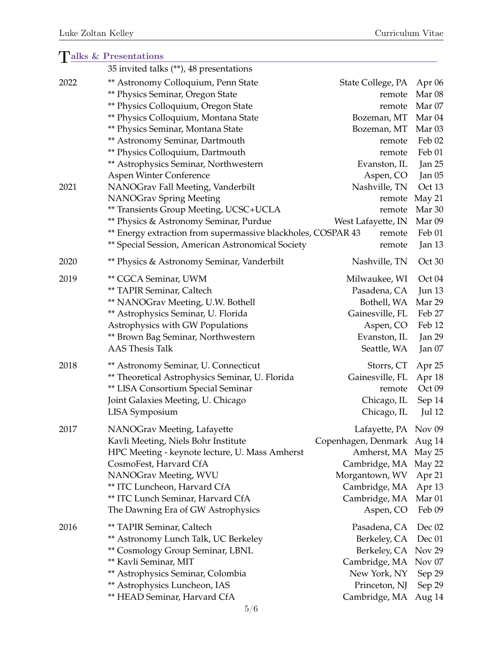### Talks & Presentations 35 invited talks (\*\*), 48 presentations 2022 \*\* Astronomy Colloquium, Penn State State College, PA Apr 06 \*\* Physics Seminar, Oregon State remote Mar 08 \*\* Physics Colloquium, Oregon State remote Mar 07 \*\* Physics Colloquium, Montana State Bozeman, MT Mar 04 \*\* Physics Seminar, Montana State Bozeman, MT Mar 03 \*\* Astronomy Seminar, Dartmouth remote Feb 02 \*\* Physics Colloquium, Dartmouth remote Feb 01 \*\* Astrophysics Seminar, Northwestern Franchestern Evanston, IL Jan 25 Aspen Winter Conference Aspen, CO Jan 05 2021 NANOGrav Fall Meeting, Vanderbilt Nashville, TN Oct 13 NANOGrav Spring Meeting **remote May 21** \*\* Transients Group Meeting, UCSC+UCLA remote Mar 30 \*\* Physics & Astronomy Seminar, Purdue West Lafayette, IN Mar 09 \*\* Energy extraction from supermassive blackholes, COSPAR 43 remote Feb 01 \*\* Special Session, American Astronomical Society remote Jan 13 2020 **\*\*** Physics & Astronomy Seminar, Vanderbilt Nashville, TN Oct 30 2019 **\*\* CGCA Seminar, UWM** Milwaukee, WI Oct 04 \*\* TAPIR Seminar, Caltech Pasadena, CA Jun 13 \*\* NANOGrav Meeting, U.W. Bothell Bothell, WA Mar 29 \*\* Astrophysics Seminar, U. Florida Gainesville, FL Feb 27 Astrophysics with GW Populations The Contract Aspen, CO Feb 12 \*\* Brown Bag Seminar, Northwestern **Evanston, IL** Jan 29 AAS Thesis Talk Seattle, WA Jan 07 2018 \*\* Astronomy Seminar, U. Connecticut Storrs, CT Apr 25 \*\* Theoretical Astrophysics Seminar, U. Florida Gainesville, FL Apr 18 \*\* LISA Consortium Special Seminar remote Oct 09 Joint Galaxies Meeting, U. Chicago Chicago, IL Sep 14 LISA Symposium Chicago, IL Jul 12 2017 NANOGrav Meeting, Lafayette Lafayette, PA Nov 09 Kavli Meeting, Niels Bohr Institute Copenhagen, Denmark Aug 14 HPC Meeting - keynote lecture, U. Mass Amherst Amherst, MA May 25 CosmoFest, Harvard CfA Cambridge, MA May 22 NANOGrav Meeting, WVU Morgantown, WV Apr 21 \*\* ITC Luncheon, Harvard CfA Cambridge, MA Apr 13 \*\* ITC Lunch Seminar, Harvard CfA Cambridge, MA Mar 01 The Dawning Era of GW Astrophysics Aspen, CO Feb 09 2016 \*\* TAPIR Seminar, Caltech Pasadena, CA Dec 02 \*\* Astronomy Lunch Talk, UC Berkeley Berkeley, CA Dec 01 \*\* Cosmology Group Seminar, LBNL Berkeley, CA Nov 29 \*\* Kavli Seminar, MIT Cambridge, MA Nov 07 \*\* Astrophysics Seminar, Colombia New York, NY Sep 29 \*\* Astrophysics Luncheon, IAS Princeton, NJ Sep 29 \*\* HEAD Seminar, Harvard CfA Cambridge, MA Aug 14